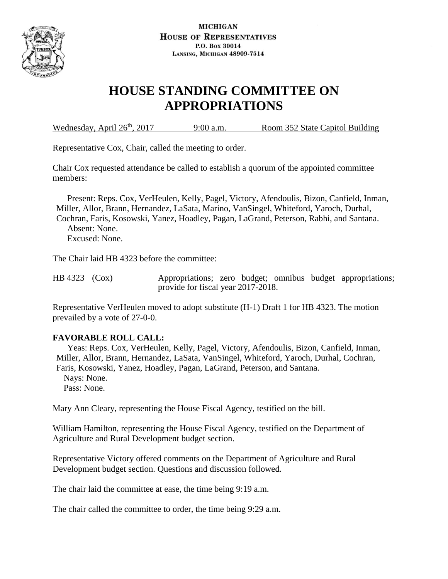

# **HOUSE STANDING COMMITTEE ON APPROPRIATIONS**

Wednesday, April 26<sup>th</sup>, 2017 9:00 a.m. Room 352 State Capitol Building

Representative Cox, Chair, called the meeting to order.

Chair Cox requested attendance be called to establish a quorum of the appointed committee members:

 Present: Reps. Cox, VerHeulen, Kelly, Pagel, Victory, Afendoulis, Bizon, Canfield, Inman, Miller, Allor, Brann, Hernandez, LaSata, Marino, VanSingel, Whiteford, Yaroch, Durhal, Cochran, Faris, Kosowski, Yanez, Hoadley, Pagan, LaGrand, Peterson, Rabhi, and Santana. Absent: None. Excused: None.

The Chair laid HB 4323 before the committee:

HB 4323 (Cox) Appropriations; zero budget; omnibus budget appropriations; provide for fiscal year 2017-2018.

Representative VerHeulen moved to adopt substitute (H-1) Draft 1 for HB 4323. The motion prevailed by a vote of 27-0-0.

## **FAVORABLE ROLL CALL:**

 Yeas: Reps. Cox, VerHeulen, Kelly, Pagel, Victory, Afendoulis, Bizon, Canfield, Inman, Miller, Allor, Brann, Hernandez, LaSata, VanSingel, Whiteford, Yaroch, Durhal, Cochran, Faris, Kosowski, Yanez, Hoadley, Pagan, LaGrand, Peterson, and Santana. Nays: None. Pass: None.

Mary Ann Cleary, representing the House Fiscal Agency, testified on the bill.

William Hamilton, representing the House Fiscal Agency, testified on the Department of Agriculture and Rural Development budget section.

Representative Victory offered comments on the Department of Agriculture and Rural Development budget section. Questions and discussion followed.

The chair laid the committee at ease, the time being 9:19 a.m.

The chair called the committee to order, the time being 9:29 a.m.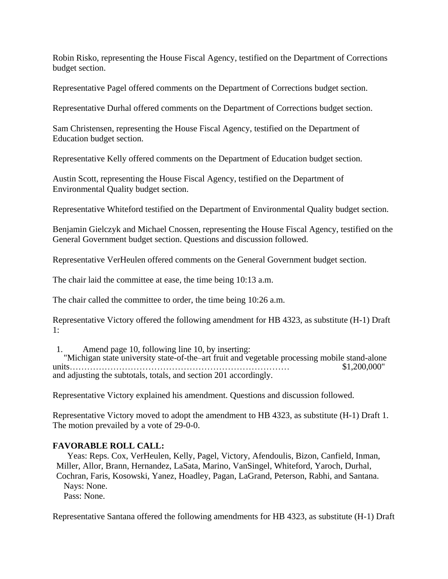Robin Risko, representing the House Fiscal Agency, testified on the Department of Corrections budget section.

Representative Pagel offered comments on the Department of Corrections budget section.

Representative Durhal offered comments on the Department of Corrections budget section.

Sam Christensen, representing the House Fiscal Agency, testified on the Department of Education budget section.

Representative Kelly offered comments on the Department of Education budget section.

Austin Scott, representing the House Fiscal Agency, testified on the Department of Environmental Quality budget section.

Representative Whiteford testified on the Department of Environmental Quality budget section.

Benjamin Gielczyk and Michael Cnossen, representing the House Fiscal Agency, testified on the General Government budget section. Questions and discussion followed.

Representative VerHeulen offered comments on the General Government budget section.

The chair laid the committee at ease, the time being 10:13 a.m.

The chair called the committee to order, the time being 10:26 a.m.

Representative Victory offered the following amendment for HB 4323, as substitute (H-1) Draft 1:

1. Amend page 10, following line 10, by inserting: "Michigan state university state-of-the–art fruit and vegetable processing mobile stand-alone units………………………………………………………………… \$1,200,000" and adjusting the subtotals, totals, and section 201 accordingly.

Representative Victory explained his amendment. Questions and discussion followed.

Representative Victory moved to adopt the amendment to HB 4323, as substitute (H-1) Draft 1. The motion prevailed by a vote of 29-0-0.

#### **FAVORABLE ROLL CALL:**

 Yeas: Reps. Cox, VerHeulen, Kelly, Pagel, Victory, Afendoulis, Bizon, Canfield, Inman, Miller, Allor, Brann, Hernandez, LaSata, Marino, VanSingel, Whiteford, Yaroch, Durhal, Cochran, Faris, Kosowski, Yanez, Hoadley, Pagan, LaGrand, Peterson, Rabhi, and Santana. Nays: None. Pass: None.

Representative Santana offered the following amendments for HB 4323, as substitute (H-1) Draft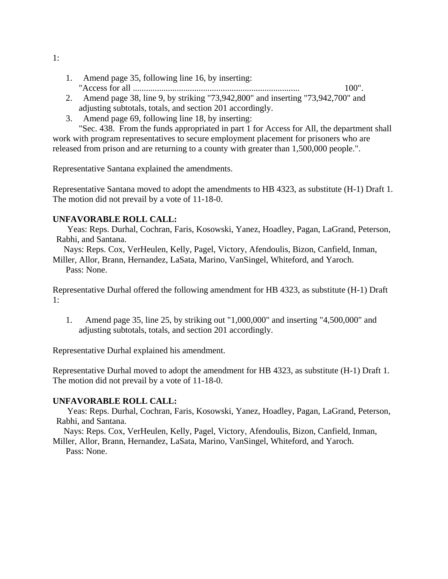- 1. Amend page 35, following line 16, by inserting: "Access for all ............................................................................ 100".
- 2. Amend page 38, line 9, by striking "73,942,800" and inserting "73,942,700" and adjusting subtotals, totals, and section 201 accordingly.
- 3. Amend page 69, following line 18, by inserting:

"Sec. 438. From the funds appropriated in part 1 for Access for All, the department shall work with program representatives to secure employment placement for prisoners who are released from prison and are returning to a county with greater than 1,500,000 people.".

Representative Santana explained the amendments.

Representative Santana moved to adopt the amendments to HB 4323, as substitute (H-1) Draft 1. The motion did not prevail by a vote of 11-18-0.

## **UNFAVORABLE ROLL CALL:**

 Yeas: Reps. Durhal, Cochran, Faris, Kosowski, Yanez, Hoadley, Pagan, LaGrand, Peterson, Rabhi, and Santana.

 Nays: Reps. Cox, VerHeulen, Kelly, Pagel, Victory, Afendoulis, Bizon, Canfield, Inman, Miller, Allor, Brann, Hernandez, LaSata, Marino, VanSingel, Whiteford, and Yaroch.

Pass: None.

Representative Durhal offered the following amendment for HB 4323, as substitute (H-1) Draft 1:

1. Amend page 35, line 25, by striking out "1,000,000" and inserting "4,500,000" and adjusting subtotals, totals, and section 201 accordingly.

Representative Durhal explained his amendment.

Representative Durhal moved to adopt the amendment for HB 4323, as substitute (H-1) Draft 1. The motion did not prevail by a vote of 11-18-0.

#### **UNFAVORABLE ROLL CALL:**

 Yeas: Reps. Durhal, Cochran, Faris, Kosowski, Yanez, Hoadley, Pagan, LaGrand, Peterson, Rabhi, and Santana.

 Nays: Reps. Cox, VerHeulen, Kelly, Pagel, Victory, Afendoulis, Bizon, Canfield, Inman, Miller, Allor, Brann, Hernandez, LaSata, Marino, VanSingel, Whiteford, and Yaroch.

Pass: None.

1: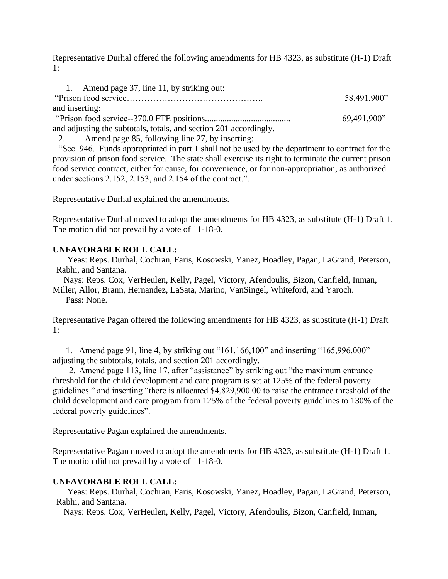Representative Durhal offered the following amendments for HB 4323, as substitute (H-1) Draft 1:

| 1. Amend page 37, line 11, by striking out:                       |             |
|-------------------------------------------------------------------|-------------|
|                                                                   | 58,491,900" |
| and inserting:                                                    |             |
|                                                                   | 69,491,900" |
| and adjusting the subtotals, totals, and section 201 accordingly. |             |

2. Amend page 85, following line 27, by inserting:

"Sec. 946. Funds appropriated in part 1 shall not be used by the department to contract for the provision of prison food service. The state shall exercise its right to terminate the current prison food service contract, either for cause, for convenience, or for non-appropriation, as authorized under sections 2.152, 2.153, and 2.154 of the contract.".

Representative Durhal explained the amendments.

Representative Durhal moved to adopt the amendments for HB 4323, as substitute (H-1) Draft 1. The motion did not prevail by a vote of 11-18-0.

## **UNFAVORABLE ROLL CALL:**

 Yeas: Reps. Durhal, Cochran, Faris, Kosowski, Yanez, Hoadley, Pagan, LaGrand, Peterson, Rabhi, and Santana.

 Nays: Reps. Cox, VerHeulen, Kelly, Pagel, Victory, Afendoulis, Bizon, Canfield, Inman, Miller, Allor, Brann, Hernandez, LaSata, Marino, VanSingel, Whiteford, and Yaroch. Pass: None.

Representative Pagan offered the following amendments for HB 4323, as substitute (H-1) Draft 1:

1. Amend page 91, line 4, by striking out "161,166,100" and inserting "165,996,000" adjusting the subtotals, totals, and section 201 accordingly.

2. Amend page 113, line 17, after "assistance" by striking out "the maximum entrance threshold for the child development and care program is set at 125% of the federal poverty guidelines." and inserting "there is allocated \$4,829,900.00 to raise the entrance threshold of the child development and care program from 125% of the federal poverty guidelines to 130% of the federal poverty guidelines".

Representative Pagan explained the amendments.

Representative Pagan moved to adopt the amendments for HB 4323, as substitute (H-1) Draft 1. The motion did not prevail by a vote of 11-18-0.

#### **UNFAVORABLE ROLL CALL:**

 Yeas: Reps. Durhal, Cochran, Faris, Kosowski, Yanez, Hoadley, Pagan, LaGrand, Peterson, Rabhi, and Santana.

Nays: Reps. Cox, VerHeulen, Kelly, Pagel, Victory, Afendoulis, Bizon, Canfield, Inman,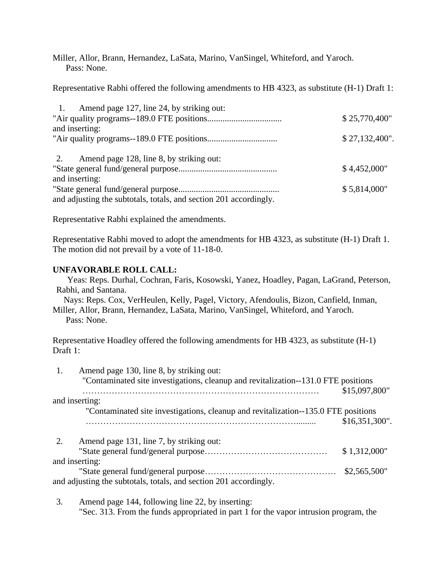Miller, Allor, Brann, Hernandez, LaSata, Marino, VanSingel, Whiteford, and Yaroch. Pass: None.

Representative Rabhi offered the following amendments to HB 4323, as substitute (H-1) Draft 1:

| Amend page 127, line 24, by striking out:<br>$\pm$ 1.             |                  |
|-------------------------------------------------------------------|------------------|
|                                                                   | \$25,770,400"    |
| and inserting:                                                    |                  |
|                                                                   | $$27,132,400"$ . |
| Amend page 128, line 8, by striking out:<br>2.                    |                  |
|                                                                   | \$4,452,000"     |
| and inserting:                                                    |                  |
|                                                                   | \$5,814,000"     |
| and adjusting the subtotals, totals, and section 201 accordingly. |                  |

Representative Rabhi explained the amendments.

Representative Rabhi moved to adopt the amendments for HB 4323, as substitute (H-1) Draft 1. The motion did not prevail by a vote of 11-18-0.

## **UNFAVORABLE ROLL CALL:**

 Yeas: Reps. Durhal, Cochran, Faris, Kosowski, Yanez, Hoadley, Pagan, LaGrand, Peterson, Rabhi, and Santana.

 Nays: Reps. Cox, VerHeulen, Kelly, Pagel, Victory, Afendoulis, Bizon, Canfield, Inman, Miller, Allor, Brann, Hernandez, LaSata, Marino, VanSingel, Whiteford, and Yaroch.

Pass: None.

Representative Hoadley offered the following amendments for HB 4323, as substitute (H-1) Draft 1:

| Amend page 130, line 8, by striking out:<br>1.<br>"Contaminated site investigations, cleanup and revitalization--131.0 FTE positions |                  |
|--------------------------------------------------------------------------------------------------------------------------------------|------------------|
| and inserting:                                                                                                                       | \$15,097,800"    |
| "Contaminated site investigations, cleanup and revitalization--135.0 FTE positions                                                   | $$16,351,300"$ . |
| 2.<br>Amend page 131, line 7, by striking out:                                                                                       |                  |
|                                                                                                                                      | \$1,312,000"     |
| and inserting:                                                                                                                       |                  |
|                                                                                                                                      | \$2,565,500"     |
| and adjusting the subtotals, totals, and section 201 accordingly.                                                                    |                  |

3. Amend page 144, following line 22, by inserting: "Sec. 313. From the funds appropriated in part 1 for the vapor intrusion program, the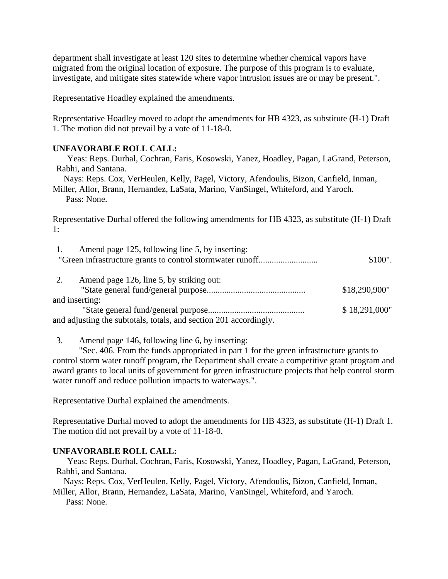department shall investigate at least 120 sites to determine whether chemical vapors have migrated from the original location of exposure. The purpose of this program is to evaluate, investigate, and mitigate sites statewide where vapor intrusion issues are or may be present.".

Representative Hoadley explained the amendments.

Representative Hoadley moved to adopt the amendments for HB 4323, as substitute (H-1) Draft 1. The motion did not prevail by a vote of 11-18-0.

## **UNFAVORABLE ROLL CALL:**

 Yeas: Reps. Durhal, Cochran, Faris, Kosowski, Yanez, Hoadley, Pagan, LaGrand, Peterson, Rabhi, and Santana.

 Nays: Reps. Cox, VerHeulen, Kelly, Pagel, Victory, Afendoulis, Bizon, Canfield, Inman, Miller, Allor, Brann, Hernandez, LaSata, Marino, VanSingel, Whiteford, and Yaroch.

Pass: None.

Representative Durhal offered the following amendments for HB 4323, as substitute (H-1) Draft 1:

| Amend page 125, following line 5, by inserting:                   |               |
|-------------------------------------------------------------------|---------------|
|                                                                   | \$100".       |
|                                                                   |               |
| 2.<br>Amend page 126, line 5, by striking out:                    |               |
|                                                                   | \$18,290,900" |
| and inserting:                                                    |               |
|                                                                   | \$18,291,000" |
| and adjusting the subtotals, totals, and section 201 accordingly. |               |

3. Amend page 146, following line 6, by inserting:

"Sec. 406. From the funds appropriated in part 1 for the green infrastructure grants to control storm water runoff program, the Department shall create a competitive grant program and award grants to local units of government for green infrastructure projects that help control storm water runoff and reduce pollution impacts to waterways.".

Representative Durhal explained the amendments.

Representative Durhal moved to adopt the amendments for HB 4323, as substitute (H-1) Draft 1. The motion did not prevail by a vote of 11-18-0.

## **UNFAVORABLE ROLL CALL:**

 Yeas: Reps. Durhal, Cochran, Faris, Kosowski, Yanez, Hoadley, Pagan, LaGrand, Peterson, Rabhi, and Santana.

Nays: Reps. Cox, VerHeulen, Kelly, Pagel, Victory, Afendoulis, Bizon, Canfield, Inman,

Miller, Allor, Brann, Hernandez, LaSata, Marino, VanSingel, Whiteford, and Yaroch. Pass: None.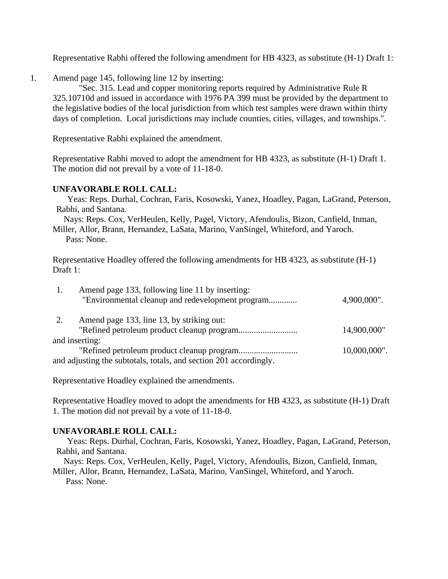Representative Rabhi offered the following amendment for HB 4323, as substitute (H-1) Draft 1:

1. Amend page 145, following line 12 by inserting:

"Sec. 315. Lead and copper monitoring reports required by Administrative Rule R 325.10710d and issued in accordance with 1976 PA 399 must be provided by the department to the legislative bodies of the local jurisdiction from which test samples were drawn within thirty days of completion. Local jurisdictions may include counties, cities, villages, and townships.".

Representative Rabhi explained the amendment.

Representative Rabhi moved to adopt the amendment for HB 4323, as substitute (H-1) Draft 1. The motion did not prevail by a vote of 11-18-0.

## **UNFAVORABLE ROLL CALL:**

 Yeas: Reps. Durhal, Cochran, Faris, Kosowski, Yanez, Hoadley, Pagan, LaGrand, Peterson, Rabhi, and Santana.

 Nays: Reps. Cox, VerHeulen, Kelly, Pagel, Victory, Afendoulis, Bizon, Canfield, Inman, Miller, Allor, Brann, Hernandez, LaSata, Marino, VanSingel, Whiteford, and Yaroch. Pass: None.

Representative Hoadley offered the following amendments for HB 4323, as substitute (H-1) Draft 1:

|    | Amend page 133, following line 11 by inserting:                   |                 |
|----|-------------------------------------------------------------------|-----------------|
|    | "Environmental cleanup and redevelopment program                  | 4,900,000".     |
| 2. | Amend page 133, line 13, by striking out:                         |                 |
|    |                                                                   | 14,900,000"     |
|    | and inserting:                                                    |                 |
|    |                                                                   | $10,000,000$ ". |
|    | and adjusting the subtotals, totals, and section 201 accordingly. |                 |

Representative Hoadley explained the amendments.

Representative Hoadley moved to adopt the amendments for HB 4323, as substitute (H-1) Draft 1. The motion did not prevail by a vote of 11-18-0.

#### **UNFAVORABLE ROLL CALL:**

 Yeas: Reps. Durhal, Cochran, Faris, Kosowski, Yanez, Hoadley, Pagan, LaGrand, Peterson, Rabhi, and Santana.

 Nays: Reps. Cox, VerHeulen, Kelly, Pagel, Victory, Afendoulis, Bizon, Canfield, Inman, Miller, Allor, Brann, Hernandez, LaSata, Marino, VanSingel, Whiteford, and Yaroch.

Pass: None.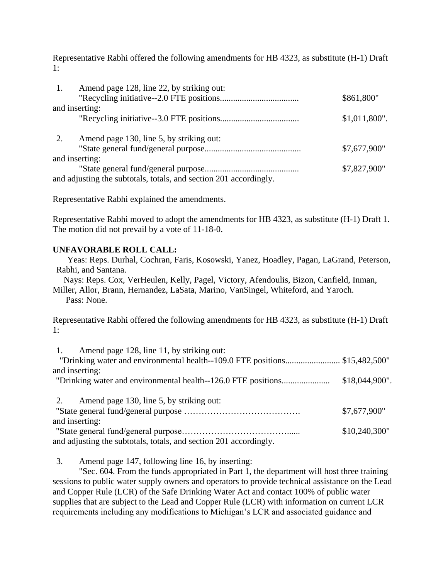Representative Rabhi offered the following amendments for HB 4323, as substitute (H-1) Draft 1:

| $\overline{1}$ . | Amend page 128, line 22, by striking out:                         |                 |
|------------------|-------------------------------------------------------------------|-----------------|
|                  |                                                                   | \$861,800"      |
|                  | and inserting:                                                    |                 |
|                  |                                                                   | $$1,011,800"$ . |
| 2.               | Amend page 130, line 5, by striking out:                          |                 |
|                  |                                                                   | \$7,677,900"    |
|                  | and inserting:                                                    |                 |
|                  |                                                                   | \$7,827,900"    |
|                  | and adjusting the subtotals, totals, and section 201 accordingly. |                 |

Representative Rabhi explained the amendments.

Representative Rabhi moved to adopt the amendments for HB 4323, as substitute (H-1) Draft 1. The motion did not prevail by a vote of 11-18-0.

## **UNFAVORABLE ROLL CALL:**

 Yeas: Reps. Durhal, Cochran, Faris, Kosowski, Yanez, Hoadley, Pagan, LaGrand, Peterson, Rabhi, and Santana.

 Nays: Reps. Cox, VerHeulen, Kelly, Pagel, Victory, Afendoulis, Bizon, Canfield, Inman, Miller, Allor, Brann, Hernandez, LaSata, Marino, VanSingel, Whiteford, and Yaroch. Pass: None.

Representative Rabhi offered the following amendments for HB 4323, as substitute (H-1) Draft 1:

| Amend page 128, line 11, by striking out:                                  |                  |
|----------------------------------------------------------------------------|------------------|
| "Drinking water and environmental health--109.0 FTE positions\$15,482,500" |                  |
| and inserting:                                                             |                  |
|                                                                            | $$18,044,900"$ . |
|                                                                            |                  |
| Amend page 130, line 5, by striking out:                                   |                  |
|                                                                            | \$7,677,900"     |
| and inserting:                                                             |                  |
|                                                                            | \$10,240,300"    |
| and adjusting the subtotals, totals, and section 201 accordingly.          |                  |

3. Amend page 147, following line 16, by inserting:

"Sec. 604. From the funds appropriated in Part 1, the department will host three training sessions to public water supply owners and operators to provide technical assistance on the Lead and Copper Rule (LCR) of the Safe Drinking Water Act and contact 100% of public water supplies that are subject to the Lead and Copper Rule (LCR) with information on current LCR requirements including any modifications to Michigan's LCR and associated guidance and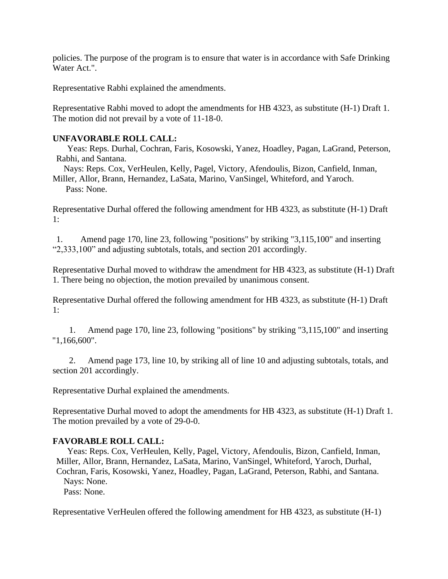policies. The purpose of the program is to ensure that water is in accordance with Safe Drinking Water Act.".

Representative Rabhi explained the amendments.

Representative Rabhi moved to adopt the amendments for HB 4323, as substitute (H-1) Draft 1. The motion did not prevail by a vote of 11-18-0.

## **UNFAVORABLE ROLL CALL:**

 Yeas: Reps. Durhal, Cochran, Faris, Kosowski, Yanez, Hoadley, Pagan, LaGrand, Peterson, Rabhi, and Santana.

 Nays: Reps. Cox, VerHeulen, Kelly, Pagel, Victory, Afendoulis, Bizon, Canfield, Inman, Miller, Allor, Brann, Hernandez, LaSata, Marino, VanSingel, Whiteford, and Yaroch.

Pass: None.

Representative Durhal offered the following amendment for HB 4323, as substitute (H-1) Draft 1:

1. Amend page 170, line 23, following "positions" by striking "3,115,100" and inserting "2,333,100" and adjusting subtotals, totals, and section 201 accordingly.

Representative Durhal moved to withdraw the amendment for HB 4323, as substitute (H-1) Draft 1. There being no objection, the motion prevailed by unanimous consent.

Representative Durhal offered the following amendment for HB 4323, as substitute (H-1) Draft 1:

1. Amend page 170, line 23, following "positions" by striking "3,115,100" and inserting "1,166,600".

2. Amend page 173, line 10, by striking all of line 10 and adjusting subtotals, totals, and section 201 accordingly.

Representative Durhal explained the amendments.

Representative Durhal moved to adopt the amendments for HB 4323, as substitute (H-1) Draft 1. The motion prevailed by a vote of 29-0-0.

## **FAVORABLE ROLL CALL:**

 Yeas: Reps. Cox, VerHeulen, Kelly, Pagel, Victory, Afendoulis, Bizon, Canfield, Inman, Miller, Allor, Brann, Hernandez, LaSata, Marino, VanSingel, Whiteford, Yaroch, Durhal, Cochran, Faris, Kosowski, Yanez, Hoadley, Pagan, LaGrand, Peterson, Rabhi, and Santana. Nays: None. Pass: None.

Representative VerHeulen offered the following amendment for HB 4323, as substitute (H-1)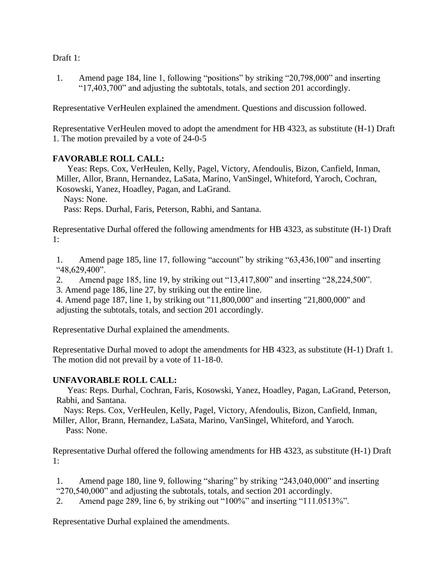Draft 1:

1. Amend page 184, line 1, following "positions" by striking "20,798,000" and inserting "17,403,700" and adjusting the subtotals, totals, and section 201 accordingly.

Representative VerHeulen explained the amendment. Questions and discussion followed.

Representative VerHeulen moved to adopt the amendment for HB 4323, as substitute (H-1) Draft 1. The motion prevailed by a vote of 24-0-5

## **FAVORABLE ROLL CALL:**

 Yeas: Reps. Cox, VerHeulen, Kelly, Pagel, Victory, Afendoulis, Bizon, Canfield, Inman, Miller, Allor, Brann, Hernandez, LaSata, Marino, VanSingel, Whiteford, Yaroch, Cochran, Kosowski, Yanez, Hoadley, Pagan, and LaGrand.

Nays: None.

Pass: Reps. Durhal, Faris, Peterson, Rabhi, and Santana.

Representative Durhal offered the following amendments for HB 4323, as substitute (H-1) Draft 1:

1. Amend page 185, line 17, following "account" by striking "63,436,100" and inserting "48,629,400".

2. Amend page 185, line 19, by striking out "13,417,800" and inserting "28,224,500".

3. Amend page 186, line 27, by striking out the entire line.

4. Amend page 187, line 1, by striking out "11,800,000" and inserting "21,800,000" and adjusting the subtotals, totals, and section 201 accordingly.

Representative Durhal explained the amendments.

Representative Durhal moved to adopt the amendments for HB 4323, as substitute (H-1) Draft 1. The motion did not prevail by a vote of 11-18-0.

## **UNFAVORABLE ROLL CALL:**

 Yeas: Reps. Durhal, Cochran, Faris, Kosowski, Yanez, Hoadley, Pagan, LaGrand, Peterson, Rabhi, and Santana.

 Nays: Reps. Cox, VerHeulen, Kelly, Pagel, Victory, Afendoulis, Bizon, Canfield, Inman, Miller, Allor, Brann, Hernandez, LaSata, Marino, VanSingel, Whiteford, and Yaroch.

Pass: None.

Representative Durhal offered the following amendments for HB 4323, as substitute (H-1) Draft 1:

1. Amend page 180, line 9, following "sharing" by striking "243,040,000" and inserting "270,540,000" and adjusting the subtotals, totals, and section 201 accordingly.

2. Amend page 289, line 6, by striking out "100%" and inserting "111.0513%".

Representative Durhal explained the amendments.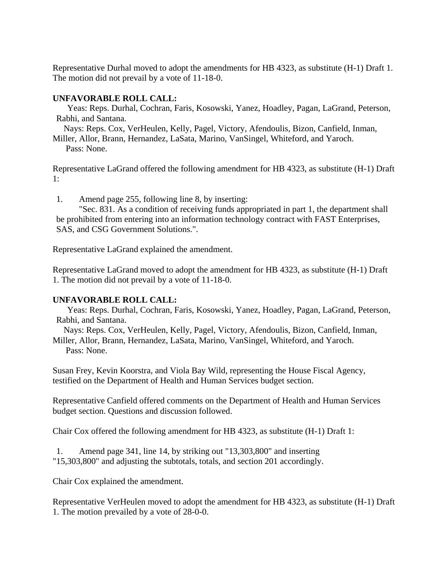Representative Durhal moved to adopt the amendments for HB 4323, as substitute (H-1) Draft 1. The motion did not prevail by a vote of 11-18-0.

#### **UNFAVORABLE ROLL CALL:**

 Yeas: Reps. Durhal, Cochran, Faris, Kosowski, Yanez, Hoadley, Pagan, LaGrand, Peterson, Rabhi, and Santana.

 Nays: Reps. Cox, VerHeulen, Kelly, Pagel, Victory, Afendoulis, Bizon, Canfield, Inman, Miller, Allor, Brann, Hernandez, LaSata, Marino, VanSingel, Whiteford, and Yaroch.

Pass: None.

Representative LaGrand offered the following amendment for HB 4323, as substitute (H-1) Draft 1:

1. Amend page 255, following line 8, by inserting:

"Sec. 831. As a condition of receiving funds appropriated in part 1, the department shall be prohibited from entering into an information technology contract with FAST Enterprises, SAS, and CSG Government Solutions.".

Representative LaGrand explained the amendment.

Representative LaGrand moved to adopt the amendment for HB 4323, as substitute (H-1) Draft 1. The motion did not prevail by a vote of 11-18-0.

## **UNFAVORABLE ROLL CALL:**

 Yeas: Reps. Durhal, Cochran, Faris, Kosowski, Yanez, Hoadley, Pagan, LaGrand, Peterson, Rabhi, and Santana.

 Nays: Reps. Cox, VerHeulen, Kelly, Pagel, Victory, Afendoulis, Bizon, Canfield, Inman, Miller, Allor, Brann, Hernandez, LaSata, Marino, VanSingel, Whiteford, and Yaroch. Pass: None.

Susan Frey, Kevin Koorstra, and Viola Bay Wild, representing the House Fiscal Agency, testified on the Department of Health and Human Services budget section.

Representative Canfield offered comments on the Department of Health and Human Services budget section. Questions and discussion followed.

Chair Cox offered the following amendment for HB 4323, as substitute (H-1) Draft 1:

1. Amend page 341, line 14, by striking out "13,303,800" and inserting "15,303,800" and adjusting the subtotals, totals, and section 201 accordingly.

Chair Cox explained the amendment.

Representative VerHeulen moved to adopt the amendment for HB 4323, as substitute (H-1) Draft 1. The motion prevailed by a vote of 28-0-0.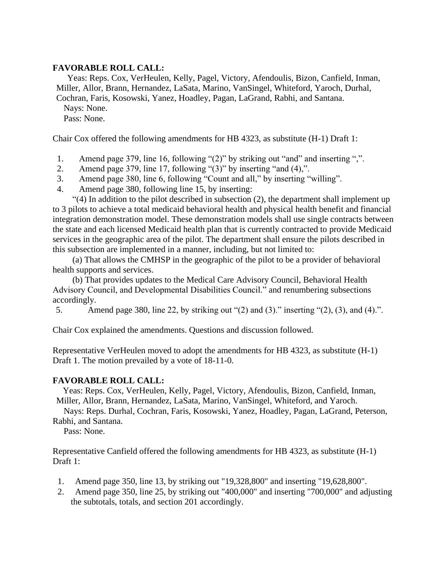## **FAVORABLE ROLL CALL:**

 Yeas: Reps. Cox, VerHeulen, Kelly, Pagel, Victory, Afendoulis, Bizon, Canfield, Inman, Miller, Allor, Brann, Hernandez, LaSata, Marino, VanSingel, Whiteford, Yaroch, Durhal, Cochran, Faris, Kosowski, Yanez, Hoadley, Pagan, LaGrand, Rabhi, and Santana. Nays: None. Pass: None.

Chair Cox offered the following amendments for HB 4323, as substitute (H-1) Draft 1:

- 1. Amend page 379, line 16, following "(2)" by striking out "and" and inserting ",".
- 2. Amend page 379, line 17, following "(3)" by inserting "and (4),".
- 3. Amend page 380, line 6, following "Count and all," by inserting "willing".
- 4. Amend page 380, following line 15, by inserting:

"(4) In addition to the pilot described in subsection (2), the department shall implement up to 3 pilots to achieve a total medicaid behavioral health and physical health benefit and financial integration demonstration model. These demonstration models shall use single contracts between the state and each licensed Medicaid health plan that is currently contracted to provide Medicaid services in the geographic area of the pilot. The department shall ensure the pilots described in this subsection are implemented in a manner, including, but not limited to:

(a) That allows the CMHSP in the geographic of the pilot to be a provider of behavioral health supports and services.

(b) That provides updates to the Medical Care Advisory Council, Behavioral Health Advisory Council, and Developmental Disabilities Council." and renumbering subsections accordingly.

5. Amend page 380, line 22, by striking out "(2) and (3)." inserting "(2), (3), and (4).".

Chair Cox explained the amendments. Questions and discussion followed.

Representative VerHeulen moved to adopt the amendments for HB 4323, as substitute (H-1) Draft 1. The motion prevailed by a vote of 18-11-0.

#### **FAVORABLE ROLL CALL:**

 Yeas: Reps. Cox, VerHeulen, Kelly, Pagel, Victory, Afendoulis, Bizon, Canfield, Inman, Miller, Allor, Brann, Hernandez, LaSata, Marino, VanSingel, Whiteford, and Yaroch.

 Nays: Reps. Durhal, Cochran, Faris, Kosowski, Yanez, Hoadley, Pagan, LaGrand, Peterson, Rabhi, and Santana.

Pass: None.

Representative Canfield offered the following amendments for HB 4323, as substitute (H-1) Draft 1:

- 1. Amend page 350, line 13, by striking out "19,328,800" and inserting "19,628,800".
- 2. Amend page 350, line 25, by striking out "400,000" and inserting "700,000" and adjusting the subtotals, totals, and section 201 accordingly.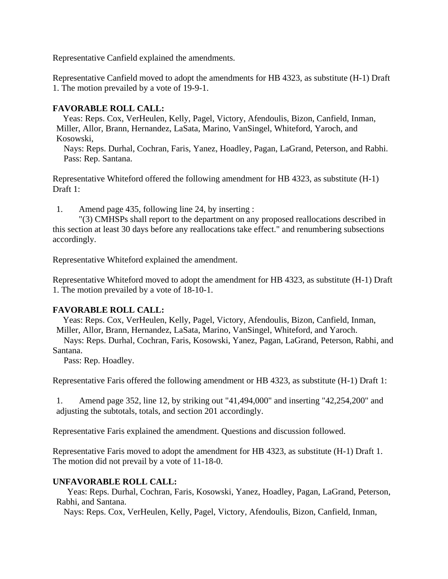Representative Canfield explained the amendments.

Representative Canfield moved to adopt the amendments for HB 4323, as substitute (H-1) Draft 1. The motion prevailed by a vote of 19-9-1.

## **FAVORABLE ROLL CALL:**

 Yeas: Reps. Cox, VerHeulen, Kelly, Pagel, Victory, Afendoulis, Bizon, Canfield, Inman, Miller, Allor, Brann, Hernandez, LaSata, Marino, VanSingel, Whiteford, Yaroch, and Kosowski,

 Nays: Reps. Durhal, Cochran, Faris, Yanez, Hoadley, Pagan, LaGrand, Peterson, and Rabhi. Pass: Rep. Santana.

Representative Whiteford offered the following amendment for HB 4323, as substitute (H-1) Draft 1:

1. Amend page 435, following line 24, by inserting :

"(3) CMHSPs shall report to the department on any proposed reallocations described in this section at least 30 days before any reallocations take effect." and renumbering subsections accordingly.

Representative Whiteford explained the amendment.

Representative Whiteford moved to adopt the amendment for HB 4323, as substitute (H-1) Draft 1. The motion prevailed by a vote of 18-10-1.

## **FAVORABLE ROLL CALL:**

 Yeas: Reps. Cox, VerHeulen, Kelly, Pagel, Victory, Afendoulis, Bizon, Canfield, Inman, Miller, Allor, Brann, Hernandez, LaSata, Marino, VanSingel, Whiteford, and Yaroch.

 Nays: Reps. Durhal, Cochran, Faris, Kosowski, Yanez, Pagan, LaGrand, Peterson, Rabhi, and Santana.

Pass: Rep. Hoadley.

Representative Faris offered the following amendment or HB 4323, as substitute (H-1) Draft 1:

1. Amend page 352, line 12, by striking out "41,494,000" and inserting "42,254,200" and adjusting the subtotals, totals, and section 201 accordingly.

Representative Faris explained the amendment. Questions and discussion followed.

Representative Faris moved to adopt the amendment for HB 4323, as substitute (H-1) Draft 1. The motion did not prevail by a vote of 11-18-0.

## **UNFAVORABLE ROLL CALL:**

 Yeas: Reps. Durhal, Cochran, Faris, Kosowski, Yanez, Hoadley, Pagan, LaGrand, Peterson, Rabhi, and Santana.

Nays: Reps. Cox, VerHeulen, Kelly, Pagel, Victory, Afendoulis, Bizon, Canfield, Inman,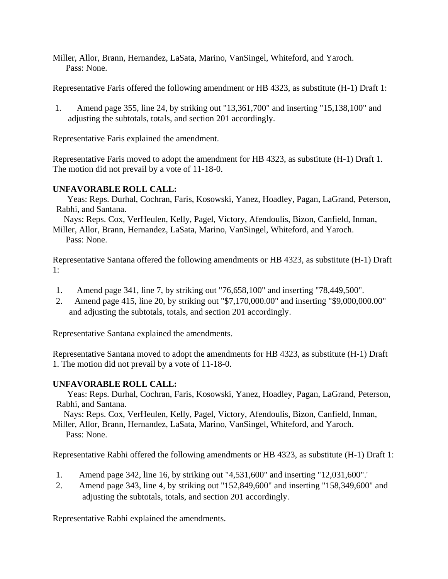Miller, Allor, Brann, Hernandez, LaSata, Marino, VanSingel, Whiteford, and Yaroch. Pass: None.

Representative Faris offered the following amendment or HB 4323, as substitute (H-1) Draft 1:

1. Amend page 355, line 24, by striking out "13,361,700" and inserting "15,138,100" and adjusting the subtotals, totals, and section 201 accordingly.

Representative Faris explained the amendment.

Representative Faris moved to adopt the amendment for HB 4323, as substitute (H-1) Draft 1. The motion did not prevail by a vote of 11-18-0.

## **UNFAVORABLE ROLL CALL:**

 Yeas: Reps. Durhal, Cochran, Faris, Kosowski, Yanez, Hoadley, Pagan, LaGrand, Peterson, Rabhi, and Santana.

 Nays: Reps. Cox, VerHeulen, Kelly, Pagel, Victory, Afendoulis, Bizon, Canfield, Inman, Miller, Allor, Brann, Hernandez, LaSata, Marino, VanSingel, Whiteford, and Yaroch. Pass: None.

Representative Santana offered the following amendments or HB 4323, as substitute (H-1) Draft 1:

- 1. Amend page 341, line 7, by striking out "76,658,100" and inserting "78,449,500".
- 2. Amend page 415, line 20, by striking out "\$7,170,000.00" and inserting "\$9,000,000.00" and adjusting the subtotals, totals, and section 201 accordingly.

Representative Santana explained the amendments.

Representative Santana moved to adopt the amendments for HB 4323, as substitute (H-1) Draft 1. The motion did not prevail by a vote of 11-18-0.

## **UNFAVORABLE ROLL CALL:**

 Yeas: Reps. Durhal, Cochran, Faris, Kosowski, Yanez, Hoadley, Pagan, LaGrand, Peterson, Rabhi, and Santana.

 Nays: Reps. Cox, VerHeulen, Kelly, Pagel, Victory, Afendoulis, Bizon, Canfield, Inman, Miller, Allor, Brann, Hernandez, LaSata, Marino, VanSingel, Whiteford, and Yaroch.

Pass: None.

Representative Rabhi offered the following amendments or HB 4323, as substitute (H-1) Draft 1:

- 1. Amend page 342, line 16, by striking out "4,531,600" and inserting "12,031,600".'
- 2. Amend page 343, line 4, by striking out "152,849,600" and inserting "158,349,600" and adjusting the subtotals, totals, and section 201 accordingly.

Representative Rabhi explained the amendments.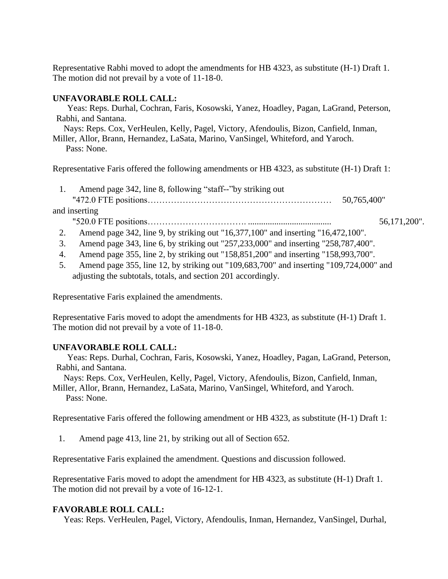Representative Rabhi moved to adopt the amendments for HB 4323, as substitute (H-1) Draft 1. The motion did not prevail by a vote of 11-18-0.

## **UNFAVORABLE ROLL CALL:**

 Yeas: Reps. Durhal, Cochran, Faris, Kosowski, Yanez, Hoadley, Pagan, LaGrand, Peterson, Rabhi, and Santana.

 Nays: Reps. Cox, VerHeulen, Kelly, Pagel, Victory, Afendoulis, Bizon, Canfield, Inman, Miller, Allor, Brann, Hernandez, LaSata, Marino, VanSingel, Whiteford, and Yaroch.

Pass: None.

Representative Faris offered the following amendments or HB 4323, as substitute (H-1) Draft 1:

- 1. Amend page 342, line 8, following "staff--"by striking out "472.0 FTE positions……………………………………………………… 50,765,400"
- and inserting "520.0 FTE positions……………………………. ...................................... 56,171,200".
	- 2. Amend page 342, line 9, by striking out "16,377,100" and inserting "16,472,100".
	- 3. Amend page 343, line 6, by striking out "257,233,000" and inserting "258,787,400".
	- 4. Amend page 355, line 2, by striking out "158,851,200" and inserting "158,993,700".
	- 5. Amend page 355, line 12, by striking out "109,683,700" and inserting "109,724,000" and adjusting the subtotals, totals, and section 201 accordingly.

Representative Faris explained the amendments.

Representative Faris moved to adopt the amendments for HB 4323, as substitute (H-1) Draft 1. The motion did not prevail by a vote of 11-18-0.

#### **UNFAVORABLE ROLL CALL:**

 Yeas: Reps. Durhal, Cochran, Faris, Kosowski, Yanez, Hoadley, Pagan, LaGrand, Peterson, Rabhi, and Santana.

 Nays: Reps. Cox, VerHeulen, Kelly, Pagel, Victory, Afendoulis, Bizon, Canfield, Inman, Miller, Allor, Brann, Hernandez, LaSata, Marino, VanSingel, Whiteford, and Yaroch.

Pass: None.

Representative Faris offered the following amendment or HB 4323, as substitute (H-1) Draft 1:

1. Amend page 413, line 21, by striking out all of Section 652.

Representative Faris explained the amendment. Questions and discussion followed.

Representative Faris moved to adopt the amendment for HB 4323, as substitute (H-1) Draft 1. The motion did not prevail by a vote of 16-12-1.

#### **FAVORABLE ROLL CALL:**

Yeas: Reps. VerHeulen, Pagel, Victory, Afendoulis, Inman, Hernandez, VanSingel, Durhal,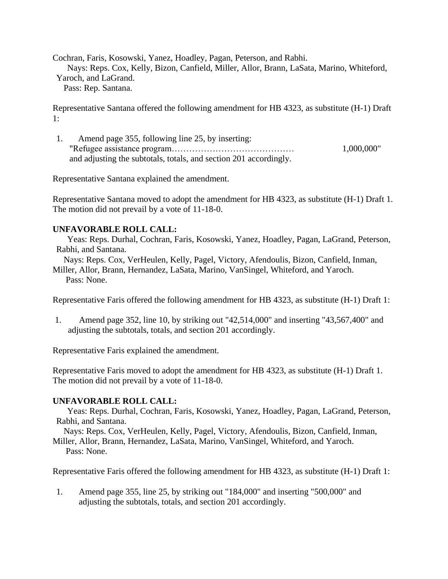Cochran, Faris, Kosowski, Yanez, Hoadley, Pagan, Peterson, and Rabhi. Nays: Reps. Cox, Kelly, Bizon, Canfield, Miller, Allor, Brann, LaSata, Marino, Whiteford, Yaroch, and LaGrand.

Pass: Rep. Santana.

Representative Santana offered the following amendment for HB 4323, as substitute (H-1) Draft 1:

1. Amend page 355, following line 25, by inserting: "Refugee assistance program…………………………………… 1,000,000" and adjusting the subtotals, totals, and section 201 accordingly.

Representative Santana explained the amendment.

Representative Santana moved to adopt the amendment for HB 4323, as substitute (H-1) Draft 1. The motion did not prevail by a vote of 11-18-0.

## **UNFAVORABLE ROLL CALL:**

 Yeas: Reps. Durhal, Cochran, Faris, Kosowski, Yanez, Hoadley, Pagan, LaGrand, Peterson, Rabhi, and Santana.

 Nays: Reps. Cox, VerHeulen, Kelly, Pagel, Victory, Afendoulis, Bizon, Canfield, Inman, Miller, Allor, Brann, Hernandez, LaSata, Marino, VanSingel, Whiteford, and Yaroch. Pass: None.

Representative Faris offered the following amendment for HB 4323, as substitute (H-1) Draft 1:

1. Amend page 352, line 10, by striking out "42,514,000" and inserting "43,567,400" and adjusting the subtotals, totals, and section 201 accordingly.

Representative Faris explained the amendment.

Representative Faris moved to adopt the amendment for HB 4323, as substitute (H-1) Draft 1. The motion did not prevail by a vote of 11-18-0.

#### **UNFAVORABLE ROLL CALL:**

 Yeas: Reps. Durhal, Cochran, Faris, Kosowski, Yanez, Hoadley, Pagan, LaGrand, Peterson, Rabhi, and Santana.

Nays: Reps. Cox, VerHeulen, Kelly, Pagel, Victory, Afendoulis, Bizon, Canfield, Inman,

Miller, Allor, Brann, Hernandez, LaSata, Marino, VanSingel, Whiteford, and Yaroch. Pass: None.

Representative Faris offered the following amendment for HB 4323, as substitute (H-1) Draft 1:

1. Amend page 355, line 25, by striking out "184,000" and inserting "500,000" and adjusting the subtotals, totals, and section 201 accordingly.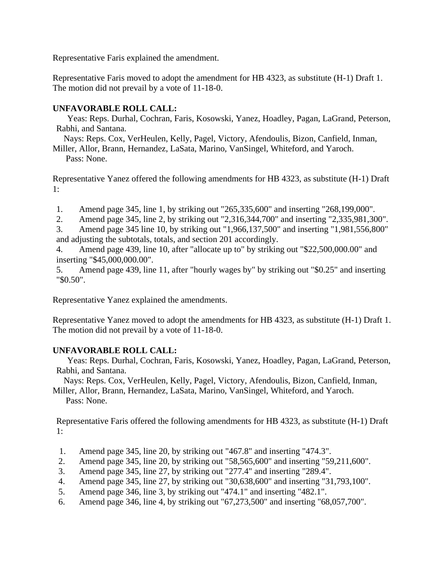Representative Faris explained the amendment.

Representative Faris moved to adopt the amendment for HB 4323, as substitute (H-1) Draft 1. The motion did not prevail by a vote of 11-18-0.

## **UNFAVORABLE ROLL CALL:**

 Yeas: Reps. Durhal, Cochran, Faris, Kosowski, Yanez, Hoadley, Pagan, LaGrand, Peterson, Rabhi, and Santana.

Nays: Reps. Cox, VerHeulen, Kelly, Pagel, Victory, Afendoulis, Bizon, Canfield, Inman,

Miller, Allor, Brann, Hernandez, LaSata, Marino, VanSingel, Whiteford, and Yaroch. Pass: None.

Representative Yanez offered the following amendments for HB 4323, as substitute (H-1) Draft 1:

1. Amend page 345, line 1, by striking out "265,335,600" and inserting "268,199,000".

2. Amend page 345, line 2, by striking out "2,316,344,700" and inserting "2,335,981,300".

3. Amend page 345 line 10, by striking out "1,966,137,500" and inserting "1,981,556,800" and adjusting the subtotals, totals, and section 201 accordingly.

4. Amend page 439, line 10, after "allocate up to" by striking out "\$22,500,000.00" and inserting "\$45,000,000.00".

5. Amend page 439, line 11, after "hourly wages by" by striking out "\$0.25" and inserting "\$0.50".

Representative Yanez explained the amendments.

Representative Yanez moved to adopt the amendments for HB 4323, as substitute (H-1) Draft 1. The motion did not prevail by a vote of 11-18-0.

# **UNFAVORABLE ROLL CALL:**

 Yeas: Reps. Durhal, Cochran, Faris, Kosowski, Yanez, Hoadley, Pagan, LaGrand, Peterson, Rabhi, and Santana.

Nays: Reps. Cox, VerHeulen, Kelly, Pagel, Victory, Afendoulis, Bizon, Canfield, Inman,

Miller, Allor, Brann, Hernandez, LaSata, Marino, VanSingel, Whiteford, and Yaroch. Pass: None.

Representative Faris offered the following amendments for HB 4323, as substitute (H-1) Draft 1:

- 1. Amend page 345, line 20, by striking out "467.8" and inserting "474.3".
- 2. Amend page 345, line 20, by striking out "58,565,600" and inserting "59,211,600".
- 3. Amend page 345, line 27, by striking out "277.4" and inserting "289.4".
- 4. Amend page 345, line 27, by striking out "30,638,600" and inserting "31,793,100".
- 5. Amend page 346, line 3, by striking out "474.1" and inserting "482.1".
- 6. Amend page 346, line 4, by striking out "67,273,500" and inserting "68,057,700".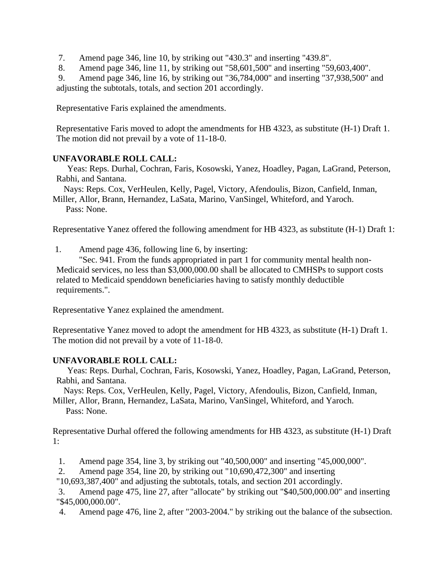7. Amend page 346, line 10, by striking out "430.3" and inserting "439.8".

8. Amend page 346, line 11, by striking out "58,601,500" and inserting "59,603,400".

9. Amend page 346, line 16, by striking out "36,784,000" and inserting "37,938,500" and adjusting the subtotals, totals, and section 201 accordingly.

Representative Faris explained the amendments.

Representative Faris moved to adopt the amendments for HB 4323, as substitute (H-1) Draft 1. The motion did not prevail by a vote of 11-18-0.

## **UNFAVORABLE ROLL CALL:**

 Yeas: Reps. Durhal, Cochran, Faris, Kosowski, Yanez, Hoadley, Pagan, LaGrand, Peterson, Rabhi, and Santana.

Nays: Reps. Cox, VerHeulen, Kelly, Pagel, Victory, Afendoulis, Bizon, Canfield, Inman,

Miller, Allor, Brann, Hernandez, LaSata, Marino, VanSingel, Whiteford, and Yaroch. Pass: None.

Representative Yanez offered the following amendment for HB 4323, as substitute (H-1) Draft 1:

1. Amend page 436, following line 6, by inserting:

"Sec. 941. From the funds appropriated in part 1 for community mental health non-Medicaid services, no less than \$3,000,000.00 shall be allocated to CMHSPs to support costs related to Medicaid spenddown beneficiaries having to satisfy monthly deductible requirements.".

Representative Yanez explained the amendment.

Representative Yanez moved to adopt the amendment for HB 4323, as substitute (H-1) Draft 1. The motion did not prevail by a vote of 11-18-0.

#### **UNFAVORABLE ROLL CALL:**

 Yeas: Reps. Durhal, Cochran, Faris, Kosowski, Yanez, Hoadley, Pagan, LaGrand, Peterson, Rabhi, and Santana.

Nays: Reps. Cox, VerHeulen, Kelly, Pagel, Victory, Afendoulis, Bizon, Canfield, Inman,

Miller, Allor, Brann, Hernandez, LaSata, Marino, VanSingel, Whiteford, and Yaroch. Pass: None.

Representative Durhal offered the following amendments for HB 4323, as substitute (H-1) Draft 1:

1. Amend page 354, line 3, by striking out "40,500,000" and inserting "45,000,000".

2. Amend page 354, line 20, by striking out "10,690,472,300" and inserting

"10,693,387,400" and adjusting the subtotals, totals, and section 201 accordingly.

3. Amend page 475, line 27, after "allocate" by striking out "\$40,500,000.00" and inserting "\$45,000,000.00".

4. Amend page 476, line 2, after "2003-2004." by striking out the balance of the subsection.